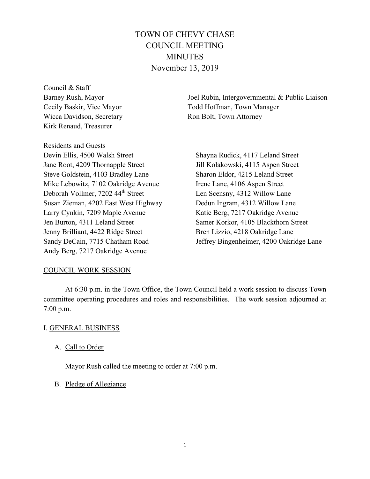# TOWN OF CHEVY CHASE COUNCIL MEETING MINUTES November 13, 2019

Council & Staff Barney Rush, Mayor Cecily Baskir, Vice Mayor Wicca Davidson, Secretary Kirk Renaud, Treasurer

Joel Rubin, Intergovernmental & Public Liaison Todd Hoffman, Town Manager Ron Bolt, Town Attorney

Residents and Guests Devin Ellis, 4500 Walsh Street Jane Root, 4209 Thornapple Street Steve Goldstein, 4103 Bradley Lane Mike Lebowitz, 7102 Oakridge Avenue Deborah Vollmer, 7202 44th Street Susan Zieman, 4202 East West Highway Larry Cynkin, 7209 Maple Avenue Jen Burton, 4311 Leland Street Jenny Brilliant, 4422 Ridge Street Sandy DeCain, 7715 Chatham Road Andy Berg, 7217 Oakridge Avenue

Shayna Rudick, 4117 Leland Street Jill Kolakowski, 4115 Aspen Street Sharon Eldor, 4215 Leland Street Irene Lane, 4106 Aspen Street Len Scensny, 4312 Willow Lane Dedun Ingram, 4312 Willow Lane Katie Berg, 7217 Oakridge Avenue Samer Korkor, 4105 Blackthorn Street Bren Lizzio, 4218 Oakridge Lane Jeffrey Bingenheimer, 4200 Oakridge Lane

# COUNCIL WORK SESSION

At 6:30 p.m. in the Town Office, the Town Council held a work session to discuss Town committee operating procedures and roles and responsibilities. The work session adjourned at 7:00 p.m.

# I. GENERAL BUSINESS

## A. Call to Order

Mayor Rush called the meeting to order at 7:00 p.m.

## B. Pledge of Allegiance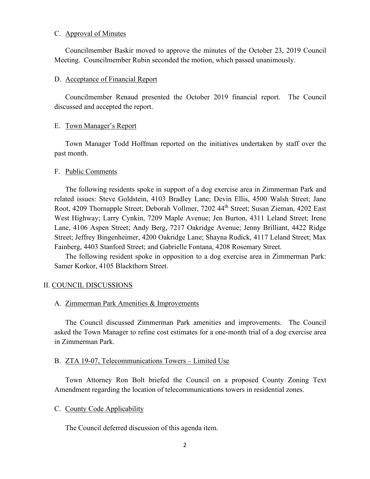### C. Approval of Minutes

Councilmember Baskir moved to approve the minutes of the October 23, 2019 Council Meeting. Councilmember Rubin seconded the motion, which passed unanimously.

### D. Acceptance of Financial Report

Councilmember Renaud presented the October 2019 financial report. The Council discussed and accepted the report.

## E. Town Manager's Report

Town Manager Todd Hoffman reported on the initiatives undertaken by staff over the past month.

## F. Public Comments

The following residents spoke in support of a dog exercise area in Zimmerman Park and related issues: Steve Goldstein, 4103 Bradley Lane; Devin Ellis, 4500 Walsh Street; Jane Root, 4209 Thornapple Street; Deborah Vollmer, 7202 44th Street; Susan Zieman, 4202 East West Highway; Larry Cynkin, 7209 Maple Avenue; Jen Burton, 4311 Leland Street; Irene Lane, 4106 Aspen Street; Andy Berg, 7217 Oakridge Avenue; Jenny Brilliant, 4422 Ridge Street; Jeffrey Bingenheimer, 4200 Oakridge Lane; Shayna Rudick, 4117 Leland Street; Max Fainberg, 4403 Stanford Street; and Gabrielle Fontana, 4208 Rosemary Street.

The following resident spoke in opposition to a dog exercise area in Zimmerman Park: Samer Korkor, 4105 Blackthorn Street.

# II. COUNCIL DISCUSSIONS

### A. Zimmerman Park Amenities & Improvements

The Council discussed Zimmerman Park amenities and improvements. The Council asked the Town Manager to refine cost estimates for a one-month trial of a dog exercise area in Zimmerman Park.

### B. ZTA 19-07, Telecommunications Towers – Limited Use

Town Attorney Ron Bolt briefed the Council on a proposed County Zoning Text Amendment regarding the location of telecommunications towers in residential zones.

### C. County Code Applicability

The Council deferred discussion of this agenda item.